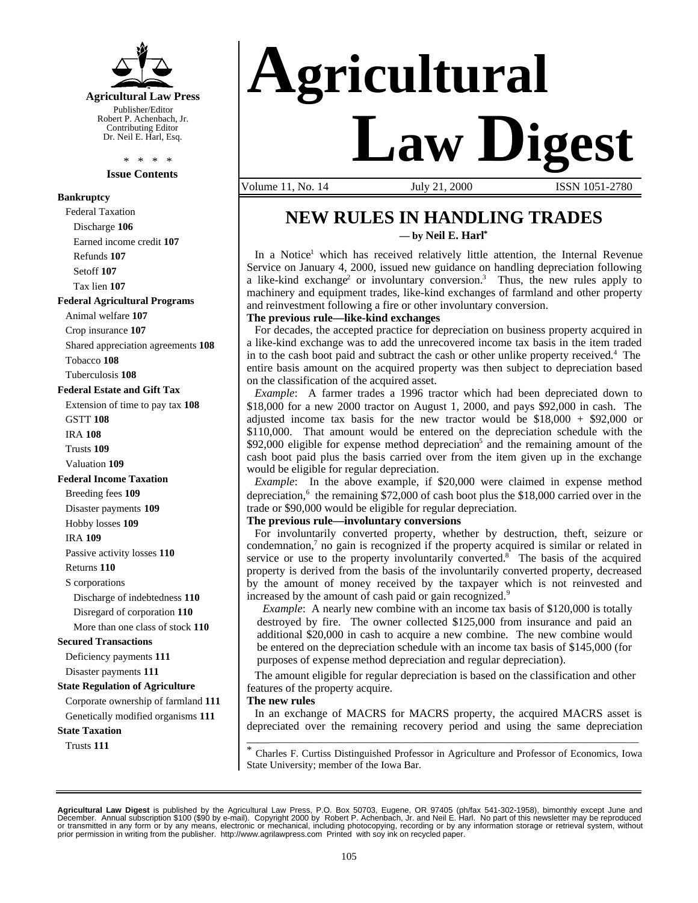

Robert P. Achenbach, Jr. Contributing Editor Dr. Neil E. Harl, Esq.

> \* \* \* \* **Issue Contents**

### **Bankruptcy**

Federal Taxation Discharge **106** Earned income credit **107** Refunds **107** Setoff **107** Tax lien **107 Federal Agricultural Programs** Animal welfare **107** Crop insurance **107** Shared appreciation agreements **108** Tobacco **108** Tuberculosis **108 Federal Estate and Gift Tax** Extension of time to pay tax **108** GSTT **108** IRA **108** Trusts **109** Valuation **109 Federal Income Taxation** Breeding fees **109** Disaster payments **109** Hobby losses **109** IRA **109** Passive activity losses **110** Returns **110** S corporations Discharge of indebtedness **110** Disregard of corporation **110** More than one class of stock **110 Secured Transactions** Deficiency payments **111** Disaster payments **111 State Regulation of Agriculture** Corporate ownership of farmland **111** Genetically modified organisms **111 State Taxation** Trusts **111**



Volume 11, No. 14 July 21, 2000 ISSN 1051-2780

### **NEW RULES IN HANDLING TRADES — by Neil E. Harl\***

In a Notice<sup>1</sup> which has received relatively little attention, the Internal Revenue Service on January 4, 2000, issued new guidance on handling depreciation following a like-kind exchange<sup>2</sup> or involuntary conversion.<sup>3</sup> Thus, the new rules apply to machinery and equipment trades, like-kind exchanges of farmland and other property and reinvestment following a fire or other involuntary conversion.

#### **The previous rule—like-kind exchanges**

For decades, the accepted practice for depreciation on business property acquired in a like-kind exchange was to add the unrecovered income tax basis in the item traded in to the cash boot paid and subtract the cash or other unlike property received.<sup>4</sup> The entire basis amount on the acquired property was then subject to depreciation based on the classification of the acquired asset.

*Example*: A farmer trades a 1996 tractor which had been depreciated down to \$18,000 for a new 2000 tractor on August 1, 2000, and pays \$92,000 in cash. The adjusted income tax basis for the new tractor would be  $$18,000 + $92,000$  or \$110,000. That amount would be entered on the depreciation schedule with the \$92,000 eligible for expense method depreciation<sup>5</sup> and the remaining amount of the cash boot paid plus the basis carried over from the item given up in the exchange would be eligible for regular depreciation.

*Example*: In the above example, if \$20,000 were claimed in expense method depreciation,<sup>6</sup> the remaining \$72,000 of cash boot plus the \$18,000 carried over in the trade or \$90,000 would be eligible for regular depreciation.

#### **The previous rule—involuntary conversions**

For involuntarily converted property, whether by destruction, theft, seizure or condemnation, $7$  no gain is recognized if the property acquired is similar or related in service or use to the property involuntarily converted.<sup>8</sup> The basis of the acquired property is derived from the basis of the involuntarily converted property, decreased by the amount of money received by the taxpayer which is not reinvested and increased by the amount of cash paid or gain recognized.<sup>9</sup>

*Example*: A nearly new combine with an income tax basis of \$120,000 is totally destroyed by fire. The owner collected \$125,000 from insurance and paid an additional \$20,000 in cash to acquire a new combine. The new combine would be entered on the depreciation schedule with an income tax basis of \$145,000 (for purposes of expense method depreciation and regular depreciation).

The amount eligible for regular depreciation is based on the classification and other features of the property acquire.

#### **The new rules**

In an exchange of MACRS for MACRS property, the acquired MACRS asset is depreciated over the remaining recovery period and using the same depreciation \_\_\_\_\_\_\_\_\_\_\_\_\_\_\_\_\_\_\_\_\_\_\_\_\_\_\_\_\_\_\_\_\_\_\_\_\_\_\_\_\_\_\_\_\_\_\_\_\_\_\_\_\_\_\_\_\_\_\_\_\_\_\_\_\_\_\_\_\_\_\_\_\_\_\_\_

\* Charles F. Curtiss Distinguished Professor in Agriculture and Professor of Economics, Iowa State University; member of the Iowa Bar.

**Agricultural Law Digest** is published by the Agricultural Law Press, P.O. Box 50703, Eugene, OR 97405 (ph/fax 541-302-1958), bimonthly except June and<br>December. Annual subscription \$100 (\$90 by e-mail). Copyright 2000 by